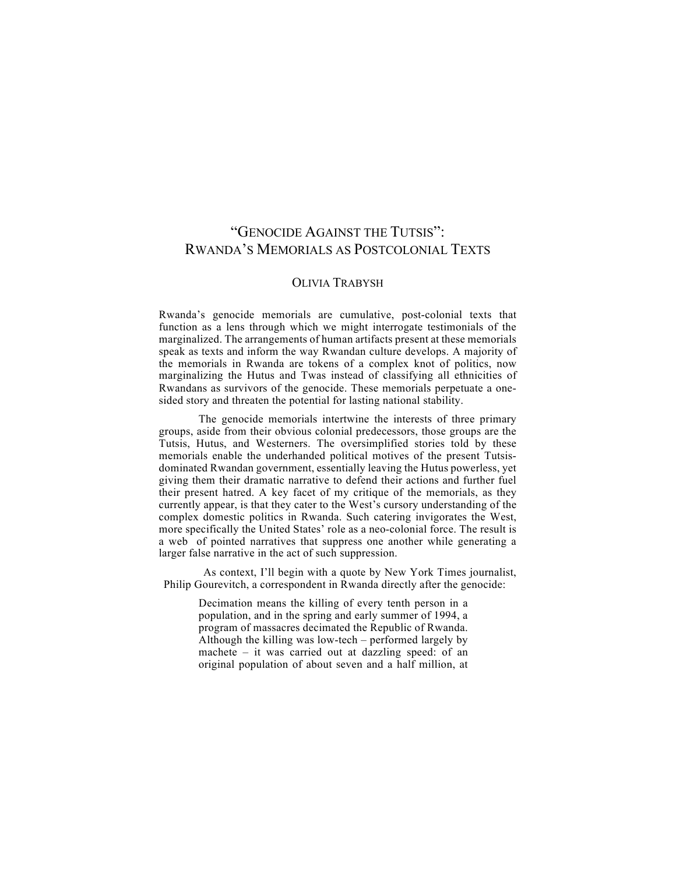## "GENOCIDE AGAINST THE TUTSIS": RWANDA'S MEMORIALS AS POSTCOLONIAL TEXTS

## OLIVIA TRABYSH

Rwanda's genocide memorials are cumulative, post-colonial texts that function as a lens through which we might interrogate testimonials of the marginalized. The arrangements of human artifacts present at these memorials speak as texts and inform the way Rwandan culture develops. A majority of the memorials in Rwanda are tokens of a complex knot of politics, now marginalizing the Hutus and Twas instead of classifying all ethnicities of Rwandans as survivors of the genocide. These memorials perpetuate a onesided story and threaten the potential for lasting national stability.

The genocide memorials intertwine the interests of three primary groups, aside from their obvious colonial predecessors, those groups are the Tutsis, Hutus, and Westerners. The oversimplified stories told by these memorials enable the underhanded political motives of the present Tutsisdominated Rwandan government, essentially leaving the Hutus powerless, yet giving them their dramatic narrative to defend their actions and further fuel their present hatred. A key facet of my critique of the memorials, as they currently appear, is that they cater to the West's cursory understanding of the complex domestic politics in Rwanda. Such catering invigorates the West, more specifically the United States' role as a neo-colonial force. The result is a web of pointed narratives that suppress one another while generating a larger false narrative in the act of such suppression.

As context, I'll begin with a quote by New York Times journalist, Philip Gourevitch, a correspondent in Rwanda directly after the genocide:

Decimation means the killing of every tenth person in a population, and in the spring and early summer of 1994, a program of massacres decimated the Republic of Rwanda. Although the killing was low-tech – performed largely by machete – it was carried out at dazzling speed: of an original population of about seven and a half million, at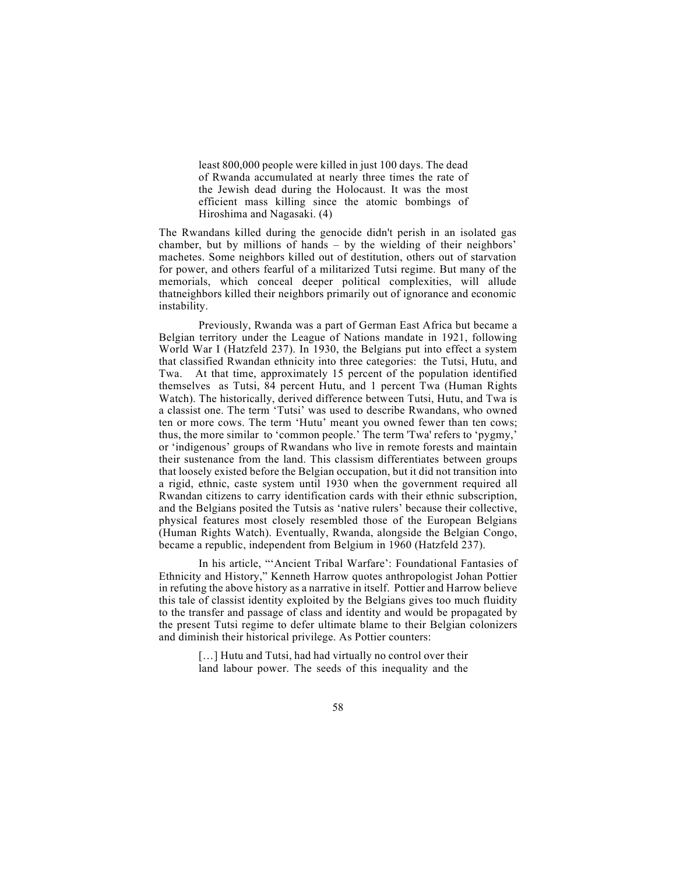least 800,000 people were killed in just 100 days. The dead of Rwanda accumulated at nearly three times the rate of the Jewish dead during the Holocaust. It was the most efficient mass killing since the atomic bombings of Hiroshima and Nagasaki. (4)

The Rwandans killed during the genocide didn't perish in an isolated gas chamber, but by millions of hands – by the wielding of their neighbors' machetes. Some neighbors killed out of destitution, others out of starvation for power, and others fearful of a militarized Tutsi regime. But many of the memorials, which conceal deeper political complexities, will allude thatneighbors killed their neighbors primarily out of ignorance and economic instability.

Previously, Rwanda was a part of German East Africa but became a Belgian territory under the League of Nations mandate in 1921, following World War I (Hatzfeld 237). In 1930, the Belgians put into effect a system that classified Rwandan ethnicity into three categories: the Tutsi, Hutu, and Twa. At that time, approximately 15 percent of the population identified themselves as Tutsi, 84 percent Hutu, and 1 percent Twa (Human Rights Watch). The historically, derived difference between Tutsi, Hutu, and Twa is a classist one. The term 'Tutsi' was used to describe Rwandans, who owned ten or more cows. The term 'Hutu' meant you owned fewer than ten cows; thus, the more similar to 'common people.' The term 'Twa' refers to 'pygmy,' or 'indigenous' groups of Rwandans who live in remote forests and maintain their sustenance from the land. This classism differentiates between groups that loosely existed before the Belgian occupation, but it did not transition into a rigid, ethnic, caste system until 1930 when the government required all Rwandan citizens to carry identification cards with their ethnic subscription, and the Belgians posited the Tutsis as 'native rulers' because their collective, physical features most closely resembled those of the European Belgians (Human Rights Watch). Eventually, Rwanda, alongside the Belgian Congo, became a republic, independent from Belgium in 1960 (Hatzfeld 237).

In his article, "'Ancient Tribal Warfare': Foundational Fantasies of Ethnicity and History," Kenneth Harrow quotes anthropologist Johan Pottier in refuting the above history as a narrative in itself. Pottier and Harrow believe this tale of classist identity exploited by the Belgians gives too much fluidity to the transfer and passage of class and identity and would be propagated by the present Tutsi regime to defer ultimate blame to their Belgian colonizers and diminish their historical privilege. As Pottier counters:

> [...] Hutu and Tutsi, had had virtually no control over their land labour power. The seeds of this inequality and the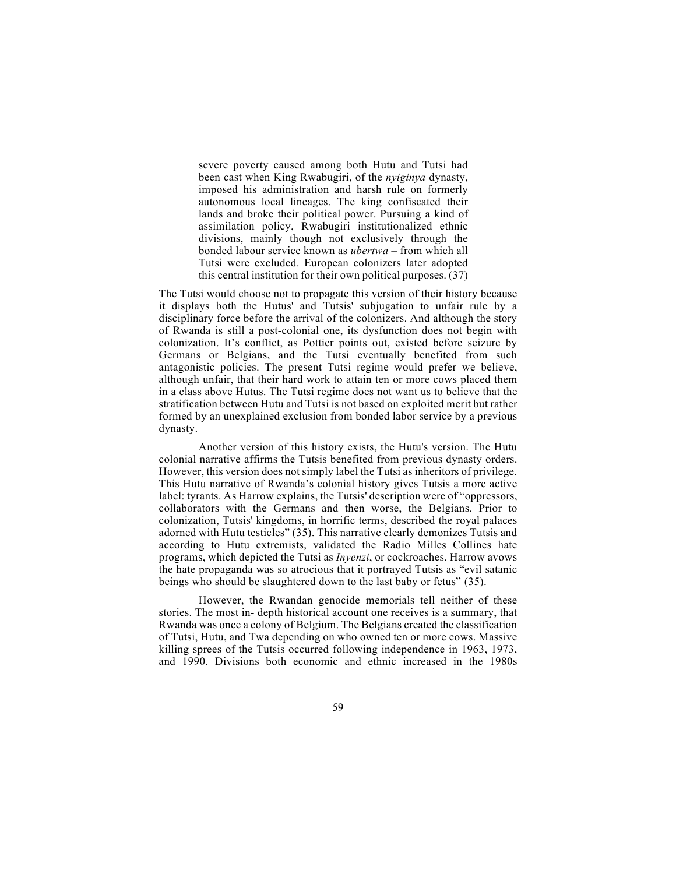severe poverty caused among both Hutu and Tutsi had been cast when King Rwabugiri, of the *nyiginya* dynasty, imposed his administration and harsh rule on formerly autonomous local lineages. The king confiscated their lands and broke their political power. Pursuing a kind of assimilation policy, Rwabugiri institutionalized ethnic divisions, mainly though not exclusively through the bonded labour service known as *ubertwa* – from which all Tutsi were excluded. European colonizers later adopted this central institution for their own political purposes. (37)

The Tutsi would choose not to propagate this version of their history because it displays both the Hutus' and Tutsis' subjugation to unfair rule by a disciplinary force before the arrival of the colonizers. And although the story of Rwanda is still a post-colonial one, its dysfunction does not begin with colonization. It's conflict, as Pottier points out, existed before seizure by Germans or Belgians, and the Tutsi eventually benefited from such antagonistic policies. The present Tutsi regime would prefer we believe, although unfair, that their hard work to attain ten or more cows placed them in a class above Hutus. The Tutsi regime does not want us to believe that the stratification between Hutu and Tutsi is not based on exploited merit but rather formed by an unexplained exclusion from bonded labor service by a previous dynasty.

Another version of this history exists, the Hutu's version. The Hutu colonial narrative affirms the Tutsis benefited from previous dynasty orders. However, this version does not simply label the Tutsi as inheritors of privilege. This Hutu narrative of Rwanda's colonial history gives Tutsis a more active label: tyrants. As Harrow explains, the Tutsis' description were of "oppressors, collaborators with the Germans and then worse, the Belgians. Prior to colonization, Tutsis' kingdoms, in horrific terms, described the royal palaces adorned with Hutu testicles" (35). This narrative clearly demonizes Tutsis and according to Hutu extremists, validated the Radio Milles Collines hate programs, which depicted the Tutsi as *Inyenzi*, or cockroaches. Harrow avows the hate propaganda was so atrocious that it portrayed Tutsis as "evil satanic beings who should be slaughtered down to the last baby or fetus" (35).

However, the Rwandan genocide memorials tell neither of these stories. The most in- depth historical account one receives is a summary, that Rwanda was once a colony of Belgium. The Belgians created the classification of Tutsi, Hutu, and Twa depending on who owned ten or more cows. Massive killing sprees of the Tutsis occurred following independence in 1963, 1973, and 1990. Divisions both economic and ethnic increased in the 1980s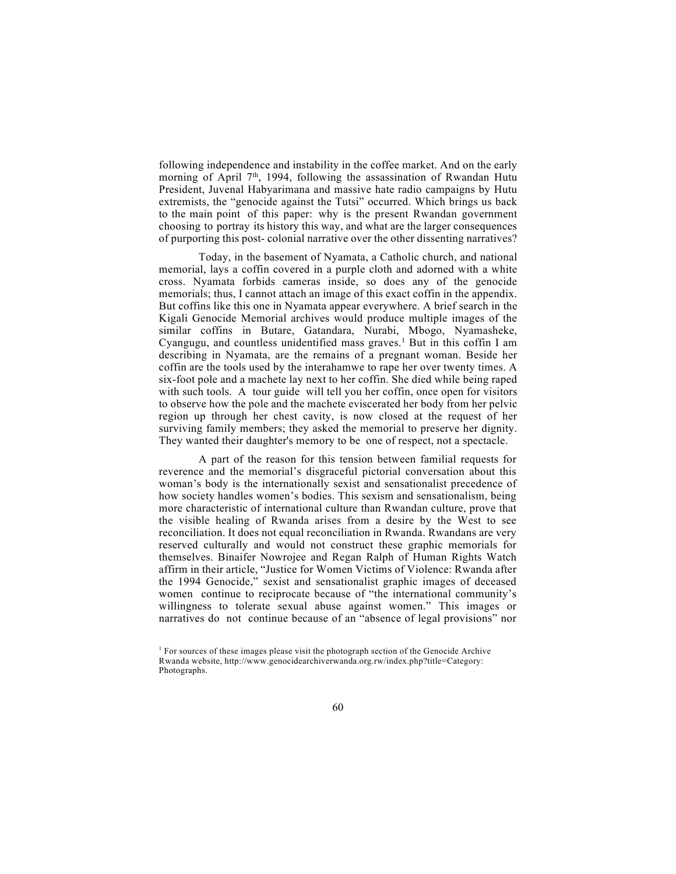following independence and instability in the coffee market. And on the early morning of April 7<sup>th</sup>, 1994, following the assassination of Rwandan Hutu President, Juvenal Habyarimana and massive hate radio campaigns by Hutu extremists, the "genocide against the Tutsi" occurred. Which brings us back to the main point of this paper: why is the present Rwandan government choosing to portray its history this way, and what are the larger consequences of purporting this post- colonial narrative over the other dissenting narratives?

Today, in the basement of Nyamata, a Catholic church, and national memorial, lays a coffin covered in a purple cloth and adorned with a white cross. Nyamata forbids cameras inside, so does any of the genocide memorials; thus, I cannot attach an image of this exact coffin in the appendix. But coffins like this one in Nyamata appear everywhere. A brief search in the Kigali Genocide Memorial archives would produce multiple images of the similar coffins in Butare, Gatandara, Nurabi, Mbogo, Nyamasheke, Cyangugu, and countless unidentified mass graves.<sup>1</sup> But in this coffin I am describing in Nyamata, are the remains of a pregnant woman. Beside her coffin are the tools used by the interahamwe to rape her over twenty times. A six-foot pole and a machete lay next to her coffin. She died while being raped with such tools. A tour guide will tell you her coffin, once open for visitors to observe how the pole and the machete eviscerated her body from her pelvic region up through her chest cavity, is now closed at the request of her surviving family members; they asked the memorial to preserve her dignity. They wanted their daughter's memory to be one of respect, not a spectacle.

A part of the reason for this tension between familial requests for reverence and the memorial's disgraceful pictorial conversation about this woman's body is the internationally sexist and sensationalist precedence of how society handles women's bodies. This sexism and sensationalism, being more characteristic of international culture than Rwandan culture, prove that the visible healing of Rwanda arises from a desire by the West to see reconciliation. It does not equal reconciliation in Rwanda. Rwandans are very reserved culturally and would not construct these graphic memorials for themselves. Binaifer Nowrojee and Regan Ralph of Human Rights Watch affirm in their article, "Justice for Women Victims of Violence: Rwanda after the 1994 Genocide," sexist and sensationalist graphic images of deceased women continue to reciprocate because of "the international community's willingness to tolerate sexual abuse against women." This images or narratives do not continue because of an "absence of legal provisions" nor

<sup>&</sup>lt;sup>1</sup> For sources of these images please visit the photograph section of the Genocide Archive Rwanda website, http://www.genocidearchiverwanda.org.rw/index.php?title=Category: Photographs.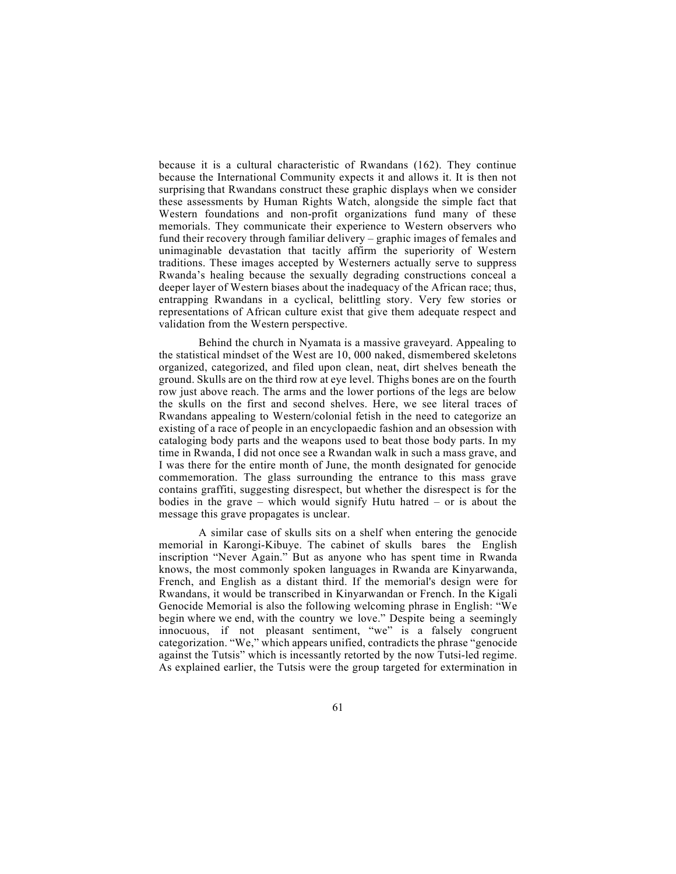because it is a cultural characteristic of Rwandans (162). They continue because the International Community expects it and allows it. It is then not surprising that Rwandans construct these graphic displays when we consider these assessments by Human Rights Watch, alongside the simple fact that Western foundations and non-profit organizations fund many of these memorials. They communicate their experience to Western observers who fund their recovery through familiar delivery – graphic images of females and unimaginable devastation that tacitly affirm the superiority of Western traditions. These images accepted by Westerners actually serve to suppress Rwanda's healing because the sexually degrading constructions conceal a deeper layer of Western biases about the inadequacy of the African race; thus, entrapping Rwandans in a cyclical, belittling story. Very few stories or representations of African culture exist that give them adequate respect and validation from the Western perspective.

Behind the church in Nyamata is a massive graveyard. Appealing to the statistical mindset of the West are 10, 000 naked, dismembered skeletons organized, categorized, and filed upon clean, neat, dirt shelves beneath the ground. Skulls are on the third row at eye level. Thighs bones are on the fourth row just above reach. The arms and the lower portions of the legs are below the skulls on the first and second shelves. Here, we see literal traces of Rwandans appealing to Western/colonial fetish in the need to categorize an existing of a race of people in an encyclopaedic fashion and an obsession with cataloging body parts and the weapons used to beat those body parts. In my time in Rwanda, I did not once see a Rwandan walk in such a mass grave, and I was there for the entire month of June, the month designated for genocide commemoration. The glass surrounding the entrance to this mass grave contains graffiti, suggesting disrespect, but whether the disrespect is for the bodies in the grave – which would signify Hutu hatred – or is about the message this grave propagates is unclear.

A similar case of skulls sits on a shelf when entering the genocide memorial in Karongi-Kibuye. The cabinet of skulls bares the English inscription "Never Again." But as anyone who has spent time in Rwanda knows, the most commonly spoken languages in Rwanda are Kinyarwanda, French, and English as a distant third. If the memorial's design were for Rwandans, it would be transcribed in Kinyarwandan or French. In the Kigali Genocide Memorial is also the following welcoming phrase in English: "We begin where we end, with the country we love." Despite being a seemingly innocuous, if not pleasant sentiment, "we" is a falsely congruent categorization. "We," which appears unified, contradicts the phrase "genocide against the Tutsis" which is incessantly retorted by the now Tutsi-led regime. As explained earlier, the Tutsis were the group targeted for extermination in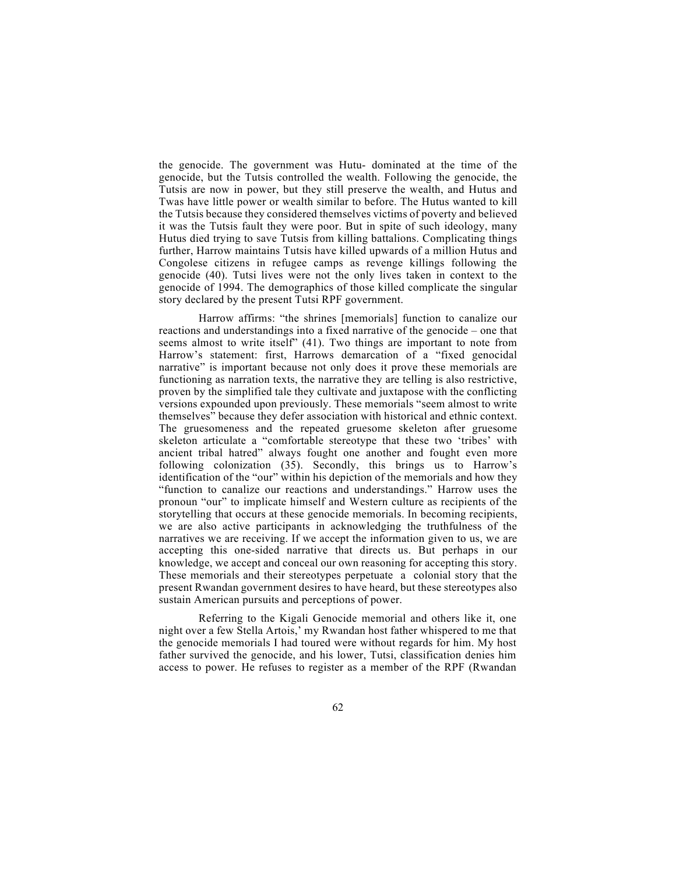the genocide. The government was Hutu- dominated at the time of the genocide, but the Tutsis controlled the wealth. Following the genocide, the Tutsis are now in power, but they still preserve the wealth, and Hutus and Twas have little power or wealth similar to before. The Hutus wanted to kill the Tutsis because they considered themselves victims of poverty and believed it was the Tutsis fault they were poor. But in spite of such ideology, many Hutus died trying to save Tutsis from killing battalions. Complicating things further, Harrow maintains Tutsis have killed upwards of a million Hutus and Congolese citizens in refugee camps as revenge killings following the genocide (40). Tutsi lives were not the only lives taken in context to the genocide of 1994. The demographics of those killed complicate the singular story declared by the present Tutsi RPF government.

Harrow affirms: "the shrines [memorials] function to canalize our reactions and understandings into a fixed narrative of the genocide – one that seems almost to write itself" (41). Two things are important to note from Harrow's statement: first, Harrows demarcation of a "fixed genocidal narrative" is important because not only does it prove these memorials are functioning as narration texts, the narrative they are telling is also restrictive, proven by the simplified tale they cultivate and juxtapose with the conflicting versions expounded upon previously. These memorials "seem almost to write themselves" because they defer association with historical and ethnic context. The gruesomeness and the repeated gruesome skeleton after gruesome skeleton articulate a "comfortable stereotype that these two 'tribes' with ancient tribal hatred" always fought one another and fought even more following colonization (35). Secondly, this brings us to Harrow's identification of the "our" within his depiction of the memorials and how they "function to canalize our reactions and understandings." Harrow uses the pronoun "our" to implicate himself and Western culture as recipients of the storytelling that occurs at these genocide memorials. In becoming recipients, we are also active participants in acknowledging the truthfulness of the narratives we are receiving. If we accept the information given to us, we are accepting this one-sided narrative that directs us. But perhaps in our knowledge, we accept and conceal our own reasoning for accepting this story. These memorials and their stereotypes perpetuate a colonial story that the present Rwandan government desires to have heard, but these stereotypes also sustain American pursuits and perceptions of power.

Referring to the Kigali Genocide memorial and others like it, one night over a few Stella Artois,' my Rwandan host father whispered to me that the genocide memorials I had toured were without regards for him. My host father survived the genocide, and his lower, Tutsi, classification denies him access to power. He refuses to register as a member of the RPF (Rwandan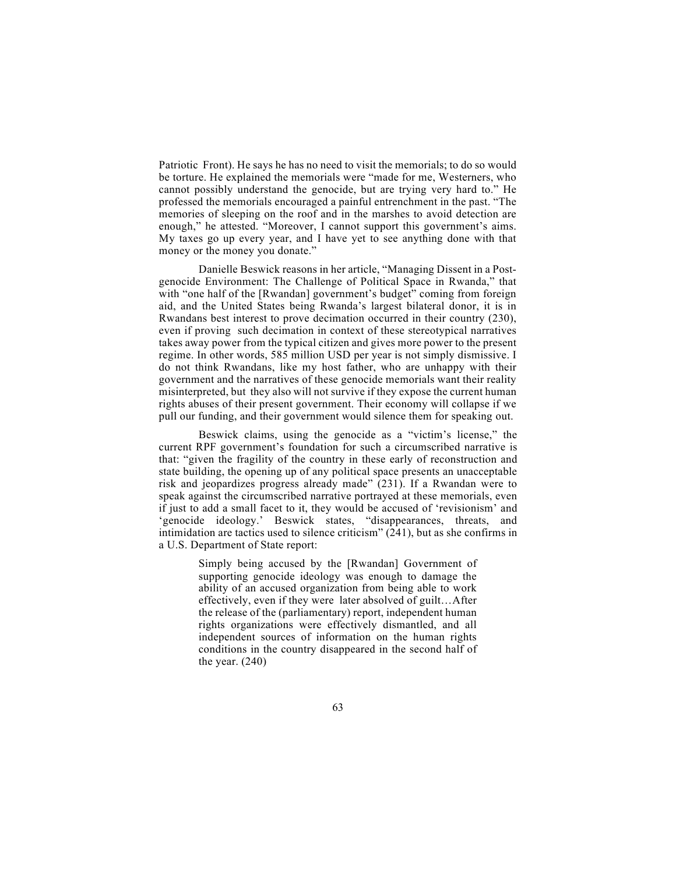Patriotic Front). He says he has no need to visit the memorials; to do so would be torture. He explained the memorials were "made for me, Westerners, who cannot possibly understand the genocide, but are trying very hard to." He professed the memorials encouraged a painful entrenchment in the past. "The memories of sleeping on the roof and in the marshes to avoid detection are enough," he attested. "Moreover, I cannot support this government's aims. My taxes go up every year, and I have yet to see anything done with that money or the money you donate."

Danielle Beswick reasons in her article, "Managing Dissent in a Postgenocide Environment: The Challenge of Political Space in Rwanda," that with "one half of the [Rwandan] government's budget" coming from foreign aid, and the United States being Rwanda's largest bilateral donor, it is in Rwandans best interest to prove decimation occurred in their country (230), even if proving such decimation in context of these stereotypical narratives takes away power from the typical citizen and gives more power to the present regime. In other words, 585 million USD per year is not simply dismissive. I do not think Rwandans, like my host father, who are unhappy with their government and the narratives of these genocide memorials want their reality misinterpreted, but they also will not survive if they expose the current human rights abuses of their present government. Their economy will collapse if we pull our funding, and their government would silence them for speaking out.

Beswick claims, using the genocide as a "victim's license," the current RPF government's foundation for such a circumscribed narrative is that: "given the fragility of the country in these early of reconstruction and state building, the opening up of any political space presents an unacceptable risk and jeopardizes progress already made" (231). If a Rwandan were to speak against the circumscribed narrative portrayed at these memorials, even if just to add a small facet to it, they would be accused of 'revisionism' and 'genocide ideology.' Beswick states, "disappearances, threats, and intimidation are tactics used to silence criticism" (241), but as she confirms in a U.S. Department of State report:

> Simply being accused by the [Rwandan] Government of supporting genocide ideology was enough to damage the ability of an accused organization from being able to work effectively, even if they were later absolved of guilt…After the release of the (parliamentary) report, independent human rights organizations were effectively dismantled, and all independent sources of information on the human rights conditions in the country disappeared in the second half of the year.  $(240)$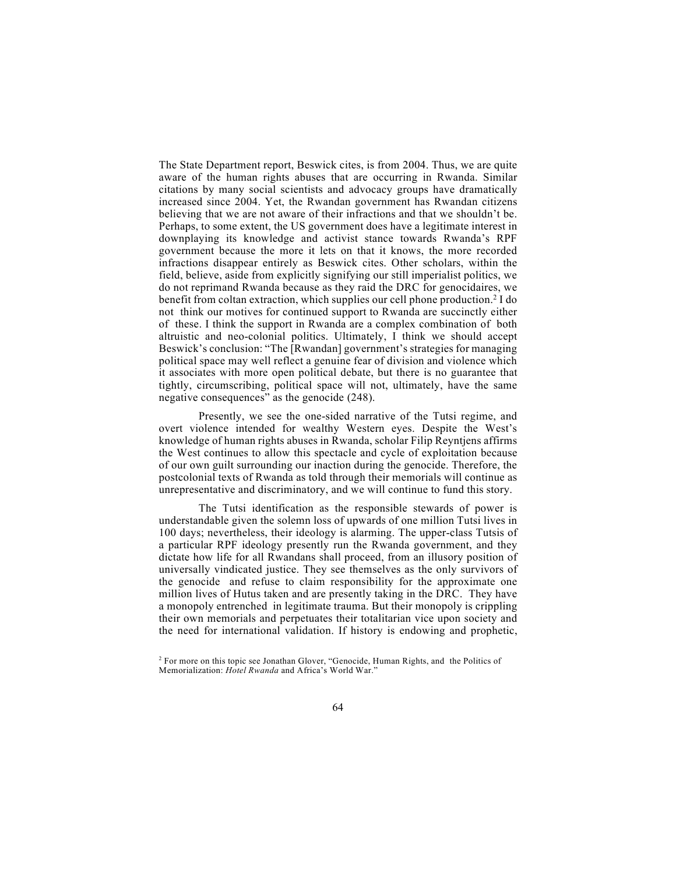The State Department report, Beswick cites, is from 2004. Thus, we are quite aware of the human rights abuses that are occurring in Rwanda. Similar citations by many social scientists and advocacy groups have dramatically increased since 2004. Yet, the Rwandan government has Rwandan citizens believing that we are not aware of their infractions and that we shouldn't be. Perhaps, to some extent, the US government does have a legitimate interest in downplaying its knowledge and activist stance towards Rwanda's RPF government because the more it lets on that it knows, the more recorded infractions disappear entirely as Beswick cites. Other scholars, within the field, believe, aside from explicitly signifying our still imperialist politics, we do not reprimand Rwanda because as they raid the DRC for genocidaires, we benefit from coltan extraction, which supplies our cell phone production.<sup>2</sup> I do not think our motives for continued support to Rwanda are succinctly either of these. I think the support in Rwanda are a complex combination of both altruistic and neo-colonial politics. Ultimately, I think we should accept Beswick's conclusion: "The [Rwandan] government's strategies for managing political space may well reflect a genuine fear of division and violence which it associates with more open political debate, but there is no guarantee that tightly, circumscribing, political space will not, ultimately, have the same negative consequences" as the genocide (248).

Presently, we see the one-sided narrative of the Tutsi regime, and overt violence intended for wealthy Western eyes. Despite the West's knowledge of human rights abuses in Rwanda, scholar Filip Reyntjens affirms the West continues to allow this spectacle and cycle of exploitation because of our own guilt surrounding our inaction during the genocide. Therefore, the postcolonial texts of Rwanda as told through their memorials will continue as unrepresentative and discriminatory, and we will continue to fund this story.

The Tutsi identification as the responsible stewards of power is understandable given the solemn loss of upwards of one million Tutsi lives in 100 days; nevertheless, their ideology is alarming. The upper-class Tutsis of a particular RPF ideology presently run the Rwanda government, and they dictate how life for all Rwandans shall proceed, from an illusory position of universally vindicated justice. They see themselves as the only survivors of the genocide and refuse to claim responsibility for the approximate one million lives of Hutus taken and are presently taking in the DRC. They have a monopoly entrenched in legitimate trauma. But their monopoly is crippling their own memorials and perpetuates their totalitarian vice upon society and the need for international validation. If history is endowing and prophetic,

<sup>&</sup>lt;sup>2</sup> For more on this topic see Jonathan Glover, "Genocide, Human Rights, and the Politics of Memorialization: *Hotel Rwanda* and Africa's World War."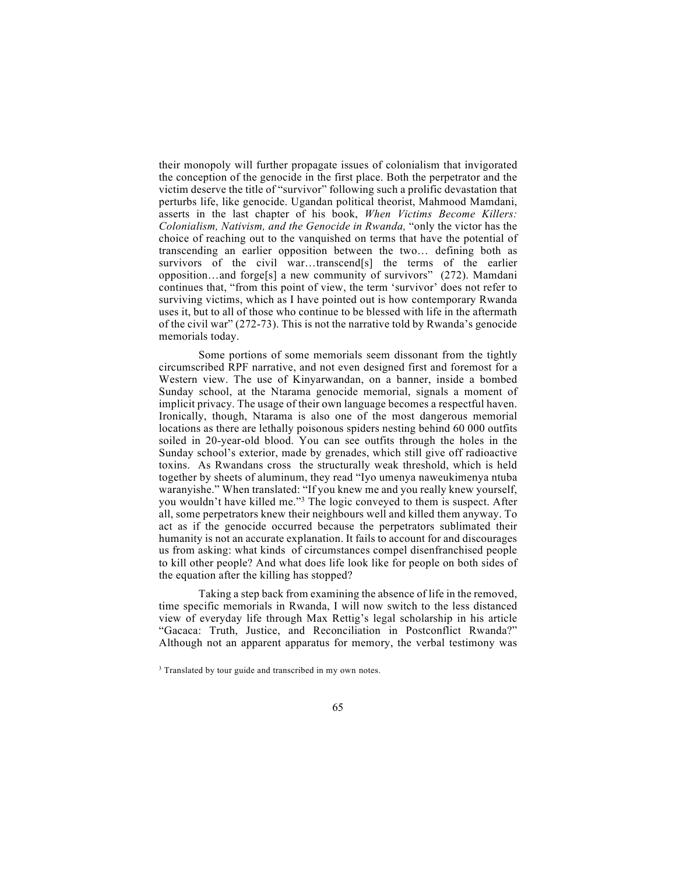their monopoly will further propagate issues of colonialism that invigorated the conception of the genocide in the first place. Both the perpetrator and the victim deserve the title of "survivor" following such a prolific devastation that perturbs life, like genocide. Ugandan political theorist, Mahmood Mamdani, asserts in the last chapter of his book, *When Victims Become Killers: Colonialism, Nativism, and the Genocide in Rwanda,* "only the victor has the choice of reaching out to the vanquished on terms that have the potential of transcending an earlier opposition between the two… defining both as survivors of the civil war…transcend[s] the terms of the earlier opposition…and forge[s] a new community of survivors" (272). Mamdani continues that, "from this point of view, the term 'survivor' does not refer to surviving victims, which as I have pointed out is how contemporary Rwanda uses it, but to all of those who continue to be blessed with life in the aftermath of the civil war" (272-73). This is not the narrative told by Rwanda's genocide memorials today.

Some portions of some memorials seem dissonant from the tightly circumscribed RPF narrative, and not even designed first and foremost for a Western view. The use of Kinyarwandan, on a banner, inside a bombed Sunday school, at the Ntarama genocide memorial, signals a moment of implicit privacy. The usage of their own language becomes a respectful haven. Ironically, though, Ntarama is also one of the most dangerous memorial locations as there are lethally poisonous spiders nesting behind 60 000 outfits soiled in 20-year-old blood. You can see outfits through the holes in the Sunday school's exterior, made by grenades, which still give off radioactive toxins. As Rwandans cross the structurally weak threshold, which is held together by sheets of aluminum, they read "Iyo umenya naweukimenya ntuba waranyishe." When translated: "If you knew me and you really knew yourself, you wouldn't have killed me."3 The logic conveyed to them is suspect. After all, some perpetrators knew their neighbours well and killed them anyway. To act as if the genocide occurred because the perpetrators sublimated their humanity is not an accurate explanation. It fails to account for and discourages us from asking: what kinds of circumstances compel disenfranchised people to kill other people? And what does life look like for people on both sides of the equation after the killing has stopped?

Taking a step back from examining the absence of life in the removed, time specific memorials in Rwanda, I will now switch to the less distanced view of everyday life through Max Rettig's legal scholarship in his article "Gacaca: Truth, Justice, and Reconciliation in Postconflict Rwanda?" Although not an apparent apparatus for memory, the verbal testimony was

<sup>&</sup>lt;sup>3</sup> Translated by tour guide and transcribed in my own notes.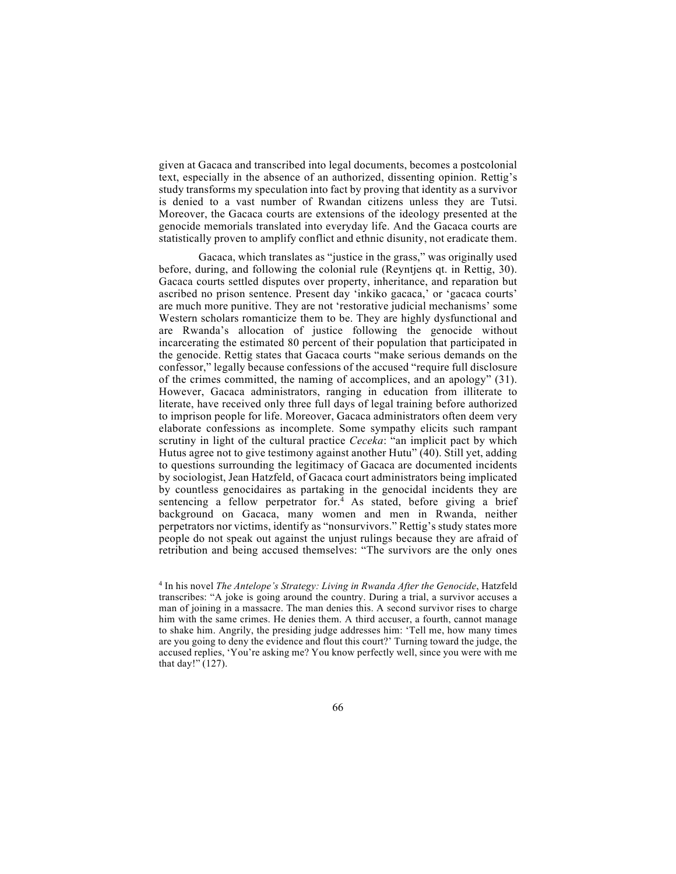given at Gacaca and transcribed into legal documents, becomes a postcolonial text, especially in the absence of an authorized, dissenting opinion. Rettig's study transforms my speculation into fact by proving that identity as a survivor is denied to a vast number of Rwandan citizens unless they are Tutsi. Moreover, the Gacaca courts are extensions of the ideology presented at the genocide memorials translated into everyday life. And the Gacaca courts are statistically proven to amplify conflict and ethnic disunity, not eradicate them.

Gacaca, which translates as "justice in the grass," was originally used before, during, and following the colonial rule (Reyntjens qt. in Rettig, 30). Gacaca courts settled disputes over property, inheritance, and reparation but ascribed no prison sentence. Present day 'inkiko gacaca,' or 'gacaca courts' are much more punitive. They are not 'restorative judicial mechanisms' some Western scholars romanticize them to be. They are highly dysfunctional and are Rwanda's allocation of justice following the genocide without incarcerating the estimated 80 percent of their population that participated in the genocide. Rettig states that Gacaca courts "make serious demands on the confessor," legally because confessions of the accused "require full disclosure of the crimes committed, the naming of accomplices, and an apology" (31). However, Gacaca administrators, ranging in education from illiterate to literate, have received only three full days of legal training before authorized to imprison people for life. Moreover, Gacaca administrators often deem very elaborate confessions as incomplete. Some sympathy elicits such rampant scrutiny in light of the cultural practice *Ceceka*: "an implicit pact by which Hutus agree not to give testimony against another Hutu" (40). Still yet, adding to questions surrounding the legitimacy of Gacaca are documented incidents by sociologist, Jean Hatzfeld, of Gacaca court administrators being implicated by countless genocidaires as partaking in the genocidal incidents they are sentencing a fellow perpetrator for.4 As stated, before giving a brief background on Gacaca, many women and men in Rwanda, neither perpetrators nor victims, identify as "nonsurvivors." Rettig's study states more people do not speak out against the unjust rulings because they are afraid of retribution and being accused themselves: "The survivors are the only ones

<sup>4</sup> In his novel *The Antelope's Strategy: Living in Rwanda After the Genocide*, Hatzfeld transcribes: "A joke is going around the country. During a trial, a survivor accuses a man of joining in a massacre. The man denies this. A second survivor rises to charge him with the same crimes. He denies them. A third accuser, a fourth, cannot manage to shake him. Angrily, the presiding judge addresses him: 'Tell me, how many times are you going to deny the evidence and flout this court?' Turning toward the judge, the accused replies, 'You're asking me? You know perfectly well, since you were with me that day!" (127).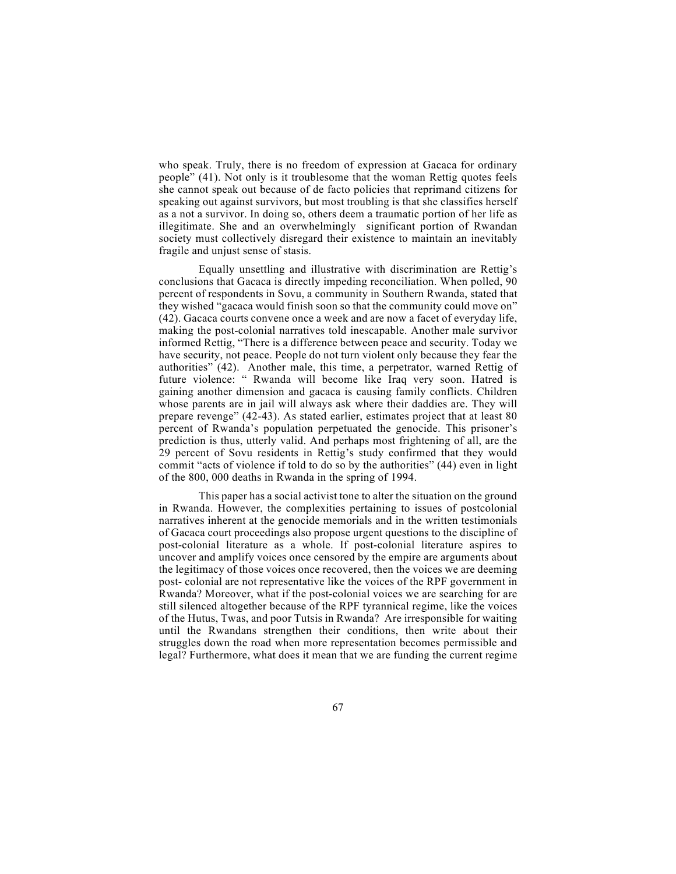who speak. Truly, there is no freedom of expression at Gacaca for ordinary people" (41). Not only is it troublesome that the woman Rettig quotes feels she cannot speak out because of de facto policies that reprimand citizens for speaking out against survivors, but most troubling is that she classifies herself as a not a survivor. In doing so, others deem a traumatic portion of her life as illegitimate. She and an overwhelmingly significant portion of Rwandan society must collectively disregard their existence to maintain an inevitably fragile and unjust sense of stasis.

Equally unsettling and illustrative with discrimination are Rettig's conclusions that Gacaca is directly impeding reconciliation. When polled, 90 percent of respondents in Sovu, a community in Southern Rwanda, stated that they wished "gacaca would finish soon so that the community could move on" (42). Gacaca courts convene once a week and are now a facet of everyday life, making the post-colonial narratives told inescapable. Another male survivor informed Rettig, "There is a difference between peace and security. Today we have security, not peace. People do not turn violent only because they fear the authorities" (42). Another male, this time, a perpetrator, warned Rettig of future violence: " Rwanda will become like Iraq very soon. Hatred is gaining another dimension and gacaca is causing family conflicts. Children whose parents are in jail will always ask where their daddies are. They will prepare revenge" (42-43). As stated earlier, estimates project that at least 80 percent of Rwanda's population perpetuated the genocide. This prisoner's prediction is thus, utterly valid. And perhaps most frightening of all, are the 29 percent of Sovu residents in Rettig's study confirmed that they would commit "acts of violence if told to do so by the authorities" (44) even in light of the 800, 000 deaths in Rwanda in the spring of 1994.

This paper has a social activist tone to alter the situation on the ground in Rwanda. However, the complexities pertaining to issues of postcolonial narratives inherent at the genocide memorials and in the written testimonials of Gacaca court proceedings also propose urgent questions to the discipline of post-colonial literature as a whole. If post-colonial literature aspires to uncover and amplify voices once censored by the empire are arguments about the legitimacy of those voices once recovered, then the voices we are deeming post- colonial are not representative like the voices of the RPF government in Rwanda? Moreover, what if the post-colonial voices we are searching for are still silenced altogether because of the RPF tyrannical regime, like the voices of the Hutus, Twas, and poor Tutsis in Rwanda? Are irresponsible for waiting until the Rwandans strengthen their conditions, then write about their struggles down the road when more representation becomes permissible and legal? Furthermore, what does it mean that we are funding the current regime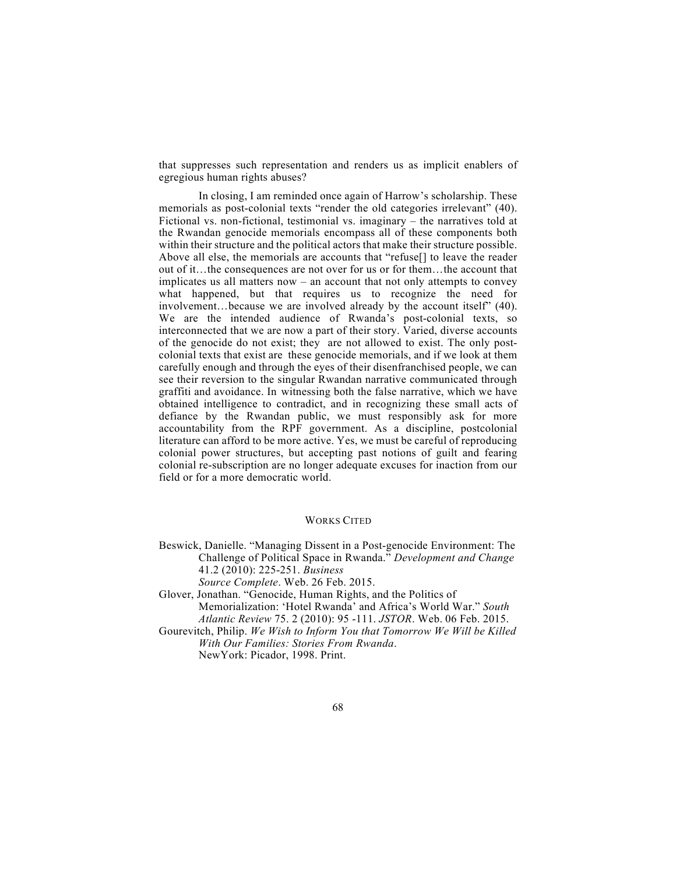that suppresses such representation and renders us as implicit enablers of egregious human rights abuses?

In closing, I am reminded once again of Harrow's scholarship. These memorials as post-colonial texts "render the old categories irrelevant" (40). Fictional vs. non-fictional, testimonial vs. imaginary – the narratives told at the Rwandan genocide memorials encompass all of these components both within their structure and the political actors that make their structure possible. Above all else, the memorials are accounts that "refuse[] to leave the reader out of it…the consequences are not over for us or for them…the account that implicates us all matters now – an account that not only attempts to convey what happened, but that requires us to recognize the need for involvement…because we are involved already by the account itself" (40). We are the intended audience of Rwanda's post-colonial texts, so interconnected that we are now a part of their story. Varied, diverse accounts of the genocide do not exist; they are not allowed to exist. The only postcolonial texts that exist are these genocide memorials, and if we look at them carefully enough and through the eyes of their disenfranchised people, we can see their reversion to the singular Rwandan narrative communicated through graffiti and avoidance. In witnessing both the false narrative, which we have obtained intelligence to contradict, and in recognizing these small acts of defiance by the Rwandan public, we must responsibly ask for more accountability from the RPF government. As a discipline, postcolonial literature can afford to be more active. Yes, we must be careful of reproducing colonial power structures, but accepting past notions of guilt and fearing colonial re-subscription are no longer adequate excuses for inaction from our field or for a more democratic world.

## WORKS CITED

- Beswick, Danielle. "Managing Dissent in a Post-genocide Environment: The Challenge of Political Space in Rwanda." *Development and Change*  41.2 (2010): 225-251. *Business*
	- *Source Complete*. Web. 26 Feb. 2015.
- Glover, Jonathan. "Genocide, Human Rights, and the Politics of Memorialization: 'Hotel Rwanda' and Africa's World War." *South Atlantic Review* 75. 2 (2010): 95 -111. *JSTOR*. Web. 06 Feb. 2015.
- Gourevitch, Philip. *We Wish to Inform You that Tomorrow We Will be Killed With Our Families: Stories From Rwanda*.

NewYork: Picador, 1998. Print.